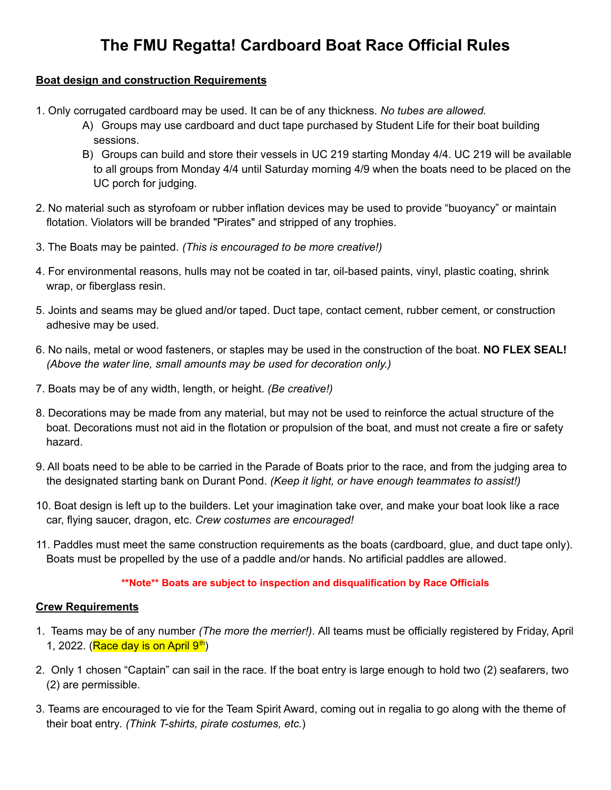# **The FMU Regatta! Cardboard Boat Race Official Rules**

## **Boat design and construction Requirements**

- 1. Only corrugated cardboard may be used. It can be of any thickness. *No tubes are allowed.*
	- A) Groups may use cardboard and duct tape purchased by Student Life for their boat building sessions.
	- B) Groups can build and store their vessels in UC 219 starting Monday 4/4. UC 219 will be available to all groups from Monday 4/4 until Saturday morning 4/9 when the boats need to be placed on the UC porch for judging.
- 2. No material such as styrofoam or rubber inflation devices may be used to provide "buoyancy" or maintain flotation. Violators will be branded "Pirates" and stripped of any trophies.
- 3. The Boats may be painted. *(This is encouraged to be more creative!)*
- 4. For environmental reasons, hulls may not be coated in tar, oil-based paints, vinyl, plastic coating, shrink wrap, or fiberglass resin.
- 5. Joints and seams may be glued and/or taped. Duct tape, contact cement, rubber cement, or construction adhesive may be used.
- 6. No nails, metal or wood fasteners, or staples may be used in the construction of the boat. **NO FLEX SEAL!** *(Above the water line, small amounts may be used for decoration only.)*
- 7. Boats may be of any width, length, or height. *(Be creative!)*
- 8. Decorations may be made from any material, but may not be used to reinforce the actual structure of the boat. Decorations must not aid in the flotation or propulsion of the boat, and must not create a fire or safety hazard.
- 9. All boats need to be able to be carried in the Parade of Boats prior to the race, and from the judging area to the designated starting bank on Durant Pond. *(Keep it light, or have enough teammates to assist!)*
- 10. Boat design is left up to the builders. Let your imagination take over, and make your boat look like a race car, flying saucer, dragon, etc. *Crew costumes are encouraged!*
- 11. Paddles must meet the same construction requirements as the boats (cardboard, glue, and duct tape only). Boats must be propelled by the use of a paddle and/or hands. No artificial paddles are allowed.

#### **\*\*Note\*\* Boats are subject to inspection and disqualification by Race Officials**

#### **Crew Requirements**

- 1. Teams may be of any number *(The more the merrier!)*. All teams must be officially registered by Friday, April 1, 2022. (**Race day is on April 9th**)
- 2. Only 1 chosen "Captain" can sail in the race. If the boat entry is large enough to hold two (2) seafarers, two (2) are permissible.
- 3. Teams are encouraged to vie for the Team Spirit Award, coming out in regalia to go along with the theme of their boat entry*. (Think T-shirts, pirate costumes, etc.*)